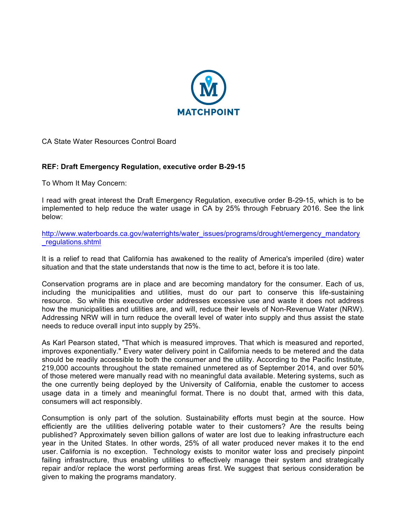

CA State Water Resources Control Board

## **REF: Draft Emergency Regulation, executive order B-29-15**

To Whom It May Concern:

I read with great interest the Draft Emergency Regulation, executive order B-29-15, which is to be implemented to help reduce the water usage in CA by 25% through February 2016. See the link below:

http://www.waterboards.ca.gov/waterrights/water\_issues/programs/drought/emergency\_mandatory \_regulations.shtml

It is a relief to read that California has awakened to the reality of America's imperiled (dire) water situation and that the state understands that now is the time to act, before it is too late.

Conservation programs are in place and are becoming mandatory for the consumer. Each of us, including the municipalities and utilities, must do our part to conserve this life-sustaining resource. So while this executive order addresses excessive use and waste it does not address how the municipalities and utilities are, and will, reduce their levels of Non-Revenue Water (NRW). Addressing NRW will in turn reduce the overall level of water into supply and thus assist the state needs to reduce overall input into supply by 25%.

As Karl Pearson stated, "That which is measured improves. That which is measured and reported, improves exponentially." Every water delivery point in California needs to be metered and the data should be readily accessible to both the consumer and the utility. According to the Pacific Institute, 219,000 accounts throughout the state remained unmetered as of September 2014, and over 50% of those metered were manually read with no meaningful data available. Metering systems, such as the one currently being deployed by the University of California, enable the customer to access usage data in a timely and meaningful format. There is no doubt that, armed with this data, consumers will act responsibly.

Consumption is only part of the solution. Sustainability efforts must begin at the source. How efficiently are the utilities delivering potable water to their customers? Are the results being published? Approximately seven billion gallons of water are lost due to leaking infrastructure each year in the United States. In other words, 25% of all water produced never makes it to the end user. California is no exception. Technology exists to monitor water loss and precisely pinpoint failing infrastructure, thus enabling utilities to effectively manage their system and strategically repair and/or replace the worst performing areas first. We suggest that serious consideration be given to making the programs mandatory.